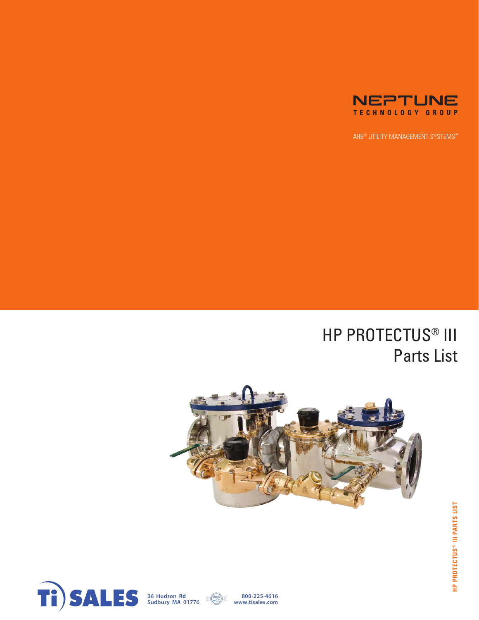

ARB® UTILITY MANAGEMENT SYSTEMS™

## HP PROTECTUS® III Parts List







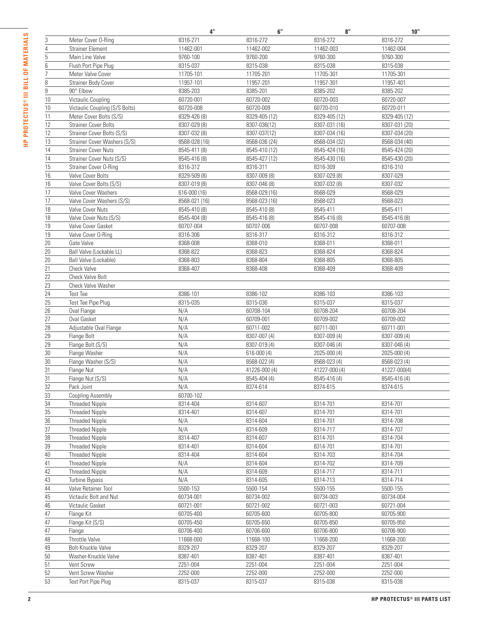|                |                                | 4"            | 6''           | 8''           | 10"           |
|----------------|--------------------------------|---------------|---------------|---------------|---------------|
| 3              | Meter Cover O-Ring             | 8316-271      | 8316-272      | 8316-272      | 8316-272      |
| 4              | <b>Strainer Element</b>        | 11462-001     | 11462-002     | 11462-003     | 11462-004     |
| 5              | Main Line Valve                | 9760-100      | 9760-200      | 9760-300      | 9760-300      |
| 6              | Flush Port Pipe Plug           | 8315-037      | 8315-038      | 8315-038      | 8315-038      |
| $\overline{7}$ | Meter Valve Cover              | 11705-101     | 11705-201     | 11705-301     | 11705-301     |
| 8              | <b>Strainer Body Cover</b>     | 11957-101     | 11957-201     | 11957-301     | 11957-401     |
| 9              | 90° Elbow                      | 8385-203      | 8385-201      | 8385-202      | 8385-202      |
| 10             | Victaulic Coupling             | 60720-001     | 60720-002     | 60720-003     | 60720-007     |
| 10             | Victaulic Coupling (S/S Bolts) | 60720-008     | 60720-009     | 60720-010     | 60720-011     |
| 11             | Meter Cover Bolts (S/S)        | 8329-426 (8)  | 8329-405 (12) | 8329-405 (12) | 8329-405 (12) |
| 12             | <b>Strainer Cover Bolts</b>    | 8307-029 (8)  | 8307-036(12)  | 8307-031 (16) | 8307-031 (20) |
| 12             | Strainer Cover Bolts (S/S)     | 8307-032 (8)  | 8307-037(12)  | 8307-034 (16) | 8307-034 (20) |
| 13             | Strainer Cover Washers (S/S)   | 8568-028 (16) | 8568-036 (24) | 8568-034 (32) | 8568-034 (40) |
| 14             | <b>Strainer Cover Nuts</b>     | 8545-411 (8)  | 8545-410 (12) | 8545-424 (16) | 8545-424 (20) |
| 14             | Strainer Cover Nuts (S/S)      | 8545-416 (8)  | 8545-427 (12) | 8545-430 (16) | 8545-430 (20) |
| 15             | Strainer Cover O-Ring          | 8316-312      | 8316-311      | 8316-309      | 8316-310      |
| 16             | Valve Cover Bolts              | 8329-509 (8)  | 8307-009 (8)  | 8307-029 (8)  | 8307-029      |
| 16             | Valve Cover Bolts (S/S)        | 8307-019 (8)  | 8307-046 (8)  | 8307-032 (8)  | 8307-032      |
| 17             | Valve Cover Washers            | 616-000 (16)  | 8568-029 (16) | 8568-029      | 8568-029      |
| 17             | Valve Cover Washers (S/S)      | 8568-021 (16) | 8568-023 (16) | 8568-023      | 8568-023      |
|                | Valve Cover Nuts               | 8545-410 (8)  | 8545-410 (8)  | 8545-411      | 8545-411      |
| 18             |                                |               |               |               |               |
| 18             | Valve Cover Nuts (S/S)         | 8545-404 (8)  | 8545-416 (8)  | 8545-416 (8)  | 8545-416 (8)  |
| 19             | Valve Cover Gasket             | 60707-004     | 60707-006     | 60707-008     | 60707-008     |
| 19             | Valve Cover O-Ring             | 8316-306      | 8316-317      | 8316-312      | 8316-312      |
| 20             | Gate Valve                     | 8368-008      | 8368-010      | 8368-011      | 8368-011      |
| 20             | Ball Valve (Lockable LL)       | 8368-822      | 8368-823      | 8368-824      | 8368-824      |
| 20             | Ball Valve (Lockable)          | 8368-803      | 8368-804      | 8368-805      | 8368-805      |
| 21             | <b>Check Valve</b>             | 8368-407      | 8368-408      | 8368-409      | 8368-409      |
| 22             | Check Valve Bolt               |               |               |               |               |
| 23             | <b>Check Valve Washer</b>      |               |               |               |               |
| 24             | <b>Test Tee</b>                | 8386-101      | 8386-102      | 8386-103      | 8386-103      |
| 25             | Test Tee Pipe Plug             | 8315-035      | 8315-036      | 8315-037      | 8315-037      |
| 26             | Oval Flange                    | N/A           | 60708-104     | 60708-204     | 60708-204     |
| 27             | Oval Gasket                    | N/A           | 60709-001     | 60709-002     | 60709-002     |
| 28             | Adjustable Oval Flange         | N/A           | 60711-002     | 60711-001     | 60711-001     |
| 29             | Flange Bolt                    | N/A           | 8307-007 (4)  | 8307-009 (4)  | 8307-009 (4)  |
| 29             | Flange Bolt (S/S)              | N/A           | 8307-019 (4)  | 8307-046 (4)  | 8307-046 (4)  |
| $30\,$         | Flange Washer                  | N/A           | 616-000 (4)   | 2025-000 (4)  | 2025-000 (4)  |
| 30             | Flange Washer (S/S)            | N/A           | 8568-022 (4)  | 8568-023 (4)  | 8568-023 (4)  |
| 31             | Flange Nut                     | N/A           | 41226-000 (4) | 41227-000 (4) | 41227-000(4)  |
| $\frac{31}{5}$ | Flange Nut (S/S)               | N/A           | 8545-404 (4)  | 8545-416 (4)  | 8545-416 (4)  |
| 32             | Pack Joint                     | N/A           | 8374-614      | 8374-615      | 8374-615      |
| 33             | <b>Coupling Assembly</b>       | 60700-102     |               |               |               |
| 34             | <b>Threaded Nipple</b>         | 8314-404      | 8314-607      | 8314-701      | 8314-701      |
| $35\,$         | <b>Threaded Nipple</b>         | 8314-401      | 8314-607      | 8314-701      | 8314-701      |
| 36             | <b>Threaded Nipple</b>         | N/A           | 8314-604      | 8314-701      | 8314-708      |
| 37             | <b>Threaded Nipple</b>         | N/A           | 8314-609      | 8314-717      | 8314-707      |
| 38             | <b>Threaded Nipple</b>         | 8314-407      | 8314-607      | 8314-701      | 8314-704      |
| 39             | <b>Threaded Nipple</b>         | 8314-401      | 8314-604      | 8314-701      | 8314-701      |
| 40             | <b>Threaded Nipple</b>         | 8314-404      | 8314-604      | 8314-703      | 8314-704      |
| 41             | <b>Threaded Nipple</b>         | N/A           | 8314-604      | 8314-702      | 8314-709      |
| 42             | <b>Threaded Nipple</b>         | N/A           | 8314-609      | 8314-717      | 8314-711      |
| 43             | Turbine Bypass                 | N/A           | 8314-605      | 8314-713      | 8314-714      |
| 44             | Valve Retainer Tool            | 5500-153      | 5500-154      | 5500-155      | 5500-155      |
| 45             | Victaulic Bolt and Nut         | 60734-001     | 60734-002     | 60734-003     | 60734-004     |
| 46             | Victaulic Gasket               | 60721-001     | 60721-002     | 60721-003     | 60721-004     |
| 47             | Flange Kit                     | 60705-400     | 60705-600     | 60705-800     | 60705-900     |
|                |                                |               |               |               |               |
| 47             | Flange Kit (S/S)               | 60705-450     | 60705-650     | 60705-850     | 60705-950     |
| 47             | Flange                         | 60706-400     | 60706-600     | 60706-800     | 60706-900     |
| 48             | Throttle Valve                 | 11668-000     | 11668-100     | 11668-200     | 11668-200     |
| 49             | Bolt-Knuckle Valve             | 8329-207      | 8329-207      | 8329-207      | 8329-207      |
| $50\,$         | Washer-Knuckle Valve           | 8387-401      | 8387-401      | 8387-401      | 8387-401      |
| 51             | Vent Screw                     | 2251-004      | 2251-004      | 2251-004      | 2251-004      |
| 52             | Vent Screw Washer              | 2252-000      | 2252-000      | 2252-000      | 2252-000      |
| 53             | Test Port Pipe Plug            | 8315-037      | 8315-037      | 8315-038      | 8315-038      |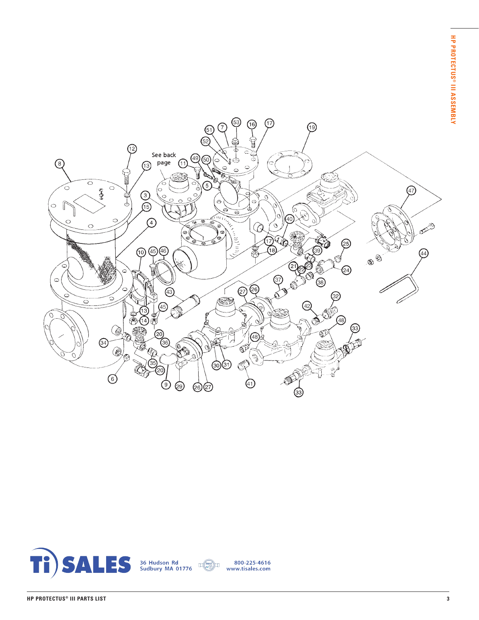